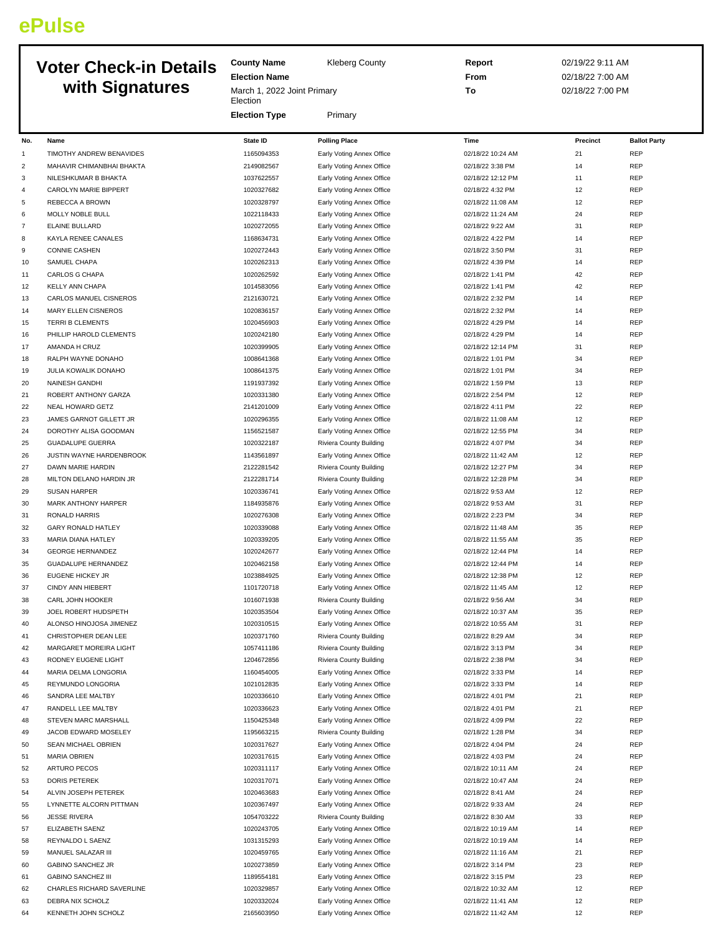## **ePulse**

## **Voter C with**

| <b>Voter Check-in Details</b> |                            | <b>County Name</b>               | <b>Kleberg County</b>     | Report            | 02/19/22 9:11 AM |                     |  |
|-------------------------------|----------------------------|----------------------------------|---------------------------|-------------------|------------------|---------------------|--|
|                               |                            | <b>Election Name</b>             |                           | From              | 02/18/22 7:00 AM |                     |  |
|                               | with Signatures            | March 1, 2022 Joint Primary      |                           | To                | 02/18/22 7:00 PM |                     |  |
|                               |                            | Election<br><b>Election Type</b> | Primary                   |                   |                  |                     |  |
| No.                           | Name                       | <b>State ID</b>                  | <b>Polling Place</b>      | Time              | Precinct         | <b>Ballot Party</b> |  |
| $\mathbf{1}$                  | TIMOTHY ANDREW BENAVIDES   | 1165094353                       | Early Voting Annex Office | 02/18/22 10:24 AM | 21               | REP                 |  |
|                               |                            |                                  |                           |                   |                  |                     |  |
| 2                             | MAHAVIR CHIMANBHAI BHAKTA  | 2149082567                       | Early Voting Annex Office | 02/18/22 3:38 PM  | 14               | <b>REP</b>          |  |
| 3                             | NILESHKUMAR B BHAKTA       | 1037622557                       | Early Voting Annex Office | 02/18/22 12:12 PM | 11               | <b>REP</b>          |  |
| 4                             | CAROLYN MARIE BIPPERT      | 1020327682                       | Early Voting Annex Office | 02/18/22 4:32 PM  | 12               | <b>REP</b>          |  |
| 5                             | REBECCA A BROWN            | 1020328797                       | Early Voting Annex Office | 02/18/22 11:08 AM | 12               | <b>REP</b>          |  |
| 6                             | MOLLY NOBLE BULL           | 1022118433                       | Early Voting Annex Office | 02/18/22 11:24 AM | 24               | <b>REP</b>          |  |
| 7                             | <b>ELAINE BULLARD</b>      | 1020272055                       | Early Voting Annex Office | 02/18/22 9:22 AM  | 31               | <b>REP</b>          |  |
| 8                             | KAYLA RENEE CANALES        | 1168634731                       | Early Voting Annex Office | 02/18/22 4:22 PM  | 14               | <b>REP</b>          |  |
| 9                             | <b>CONNIE CASHEN</b>       | 1020272443                       | Early Voting Annex Office | 02/18/22 3:50 PM  | 31               | <b>REP</b>          |  |
| 10                            | SAMUEL CHAPA               | 1020262313                       | Early Voting Annex Office | 02/18/22 4:39 PM  | 14               | <b>REP</b>          |  |
| 11                            | CARLOS G CHAPA             | 1020262592                       | Early Voting Annex Office | 02/18/22 1:41 PM  | 42               | <b>REP</b>          |  |
| 12                            | <b>KELLY ANN CHAPA</b>     | 1014583056                       | Early Voting Annex Office | 02/18/22 1:41 PM  | 42               | <b>REP</b>          |  |
| 13                            | CARLOS MANUEL CISNEROS     | 2121630721                       | Early Voting Annex Office | 02/18/22 2:32 PM  | 14               | <b>REP</b>          |  |
| 14                            | <b>MARY ELLEN CISNEROS</b> | 1020836157                       | Early Voting Annex Office | 02/18/22 2:32 PM  | 14               | <b>REP</b>          |  |
| 15                            | <b>TERRI B CLEMENTS</b>    | 1020456903                       | Early Voting Annex Office | 02/18/22 4:29 PM  | 14               | <b>REP</b>          |  |
| 16                            | PHILLIP HAROLD CLEMENTS    | 1020242180                       | Early Voting Annex Office | 02/18/22 4:29 PM  | 14               | <b>REP</b>          |  |
| 17                            | AMANDA H CRUZ              | 1020399905                       | Early Voting Annex Office | 02/18/22 12:14 PM | 31               | <b>REP</b>          |  |
| 18                            | RALPH WAYNE DONAHO         | 1008641368                       | Early Voting Annex Office | 02/18/22 1:01 PM  | 34               | <b>REP</b>          |  |
| 19                            | JULIA KOWALIK DONAHO       | 1008641375                       | Early Voting Annex Office | 02/18/22 1:01 PM  | 34               | <b>REP</b>          |  |
|                               |                            | 1191937392                       |                           |                   | 13               | <b>REP</b>          |  |
| 20                            | NAINESH GANDHI             |                                  | Early Voting Annex Office | 02/18/22 1:59 PM  |                  |                     |  |
| 21                            | ROBERT ANTHONY GARZA       | 1020331380                       | Early Voting Annex Office | 02/18/22 2:54 PM  | 12               | <b>REP</b>          |  |
| 22                            | NEAL HOWARD GETZ           | 2141201009                       | Early Voting Annex Office | 02/18/22 4:11 PM  | 22               | <b>REP</b>          |  |
| 23                            | JAMES GARNOT GILLETT JR    | 1020296355                       | Early Voting Annex Office | 02/18/22 11:08 AM | 12               | <b>REP</b>          |  |
| 24                            | DOROTHY ALISA GOODMAN      | 1156521587                       | Early Voting Annex Office | 02/18/22 12:55 PM | 34               | <b>REP</b>          |  |
| 25                            | <b>GUADALUPE GUERRA</b>    | 1020322187                       | Riviera County Building   | 02/18/22 4:07 PM  | 34               | <b>REP</b>          |  |
| 26                            | JUSTIN WAYNE HARDENBROOK   | 1143561897                       | Early Voting Annex Office | 02/18/22 11:42 AM | 12               | <b>REP</b>          |  |
| 27                            | DAWN MARIE HARDIN          | 2122281542                       | Riviera County Building   | 02/18/22 12:27 PM | 34               | <b>REP</b>          |  |
| 28                            | MILTON DELANO HARDIN JR    | 2122281714                       | Riviera County Building   | 02/18/22 12:28 PM | 34               | <b>REP</b>          |  |
| 29                            | <b>SUSAN HARPER</b>        | 1020336741                       | Early Voting Annex Office | 02/18/22 9:53 AM  | 12               | <b>REP</b>          |  |
| 30                            | MARK ANTHONY HARPER        | 1184935876                       | Early Voting Annex Office | 02/18/22 9:53 AM  | 31               | <b>REP</b>          |  |
| 31                            | RONALD HARRIS              | 1020276308                       | Early Voting Annex Office | 02/18/22 2:23 PM  | 34               | <b>REP</b>          |  |
| 32                            | <b>GARY RONALD HATLEY</b>  | 1020339088                       | Early Voting Annex Office | 02/18/22 11:48 AM | 35               | <b>REP</b>          |  |
| 33                            | MARIA DIANA HATLEY         | 1020339205                       | Early Voting Annex Office | 02/18/22 11:55 AM | 35               | <b>REP</b>          |  |
| 34                            | <b>GEORGE HERNANDEZ</b>    | 1020242677                       | Early Voting Annex Office | 02/18/22 12:44 PM | 14               | <b>REP</b>          |  |
| 35                            | <b>GUADALUPE HERNANDEZ</b> | 1020462158                       | Early Voting Annex Office | 02/18/22 12:44 PM | 14               | <b>REP</b>          |  |
| 36                            | <b>EUGENE HICKEY JR</b>    | 1023884925                       | Early Voting Annex Office | 02/18/22 12:38 PM | 12               | <b>REP</b>          |  |
| 37                            | CINDY ANN HIEBERT          | 1101720718                       | Early Voting Annex Office | 02/18/22 11:45 AM | 12               | <b>REP</b>          |  |
| 38                            | CARL JOHN HOOKER           | 1016071938                       | Riviera County Building   | 02/18/22 9:56 AM  | 34               | <b>REP</b>          |  |
| 39                            | JOEL ROBERT HUDSPETH       | 1020353504                       | Early Voting Annex Office | 02/18/22 10:37 AM | 35               | <b>REP</b>          |  |
|                               |                            |                                  |                           |                   |                  |                     |  |
| 40                            | ALONSO HINOJOSA JIMENEZ    | 1020310515                       | Early Voting Annex Office | 02/18/22 10:55 AM | 31               | <b>REP</b>          |  |
| 41                            | CHRISTOPHER DEAN LEE       | 1020371760                       | Riviera County Building   | 02/18/22 8:29 AM  | 34               | <b>REP</b>          |  |
| 42                            | MARGARET MOREIRA LIGHT     | 1057411186                       | Riviera County Building   | 02/18/22 3:13 PM  | 34               | <b>REP</b>          |  |
| 43                            | RODNEY EUGENE LIGHT        | 1204672856                       | Riviera County Building   | 02/18/22 2:38 PM  | 34               | REP                 |  |
| 44                            | MARIA DELMA LONGORIA       | 1160454005                       | Early Voting Annex Office | 02/18/22 3:33 PM  | 14               | <b>REP</b>          |  |
| 45                            | REYMUNDO LONGORIA          | 1021012835                       | Early Voting Annex Office | 02/18/22 3:33 PM  | 14               | REP                 |  |
| 46                            | SANDRA LEE MALTBY          | 1020336610                       | Early Voting Annex Office | 02/18/22 4:01 PM  | 21               | <b>REP</b>          |  |
| 47                            | RANDELL LEE MALTBY         | 1020336623                       | Early Voting Annex Office | 02/18/22 4:01 PM  | 21               | <b>REP</b>          |  |
| 48                            | STEVEN MARC MARSHALL       | 1150425348                       | Early Voting Annex Office | 02/18/22 4:09 PM  | 22               | REP                 |  |
| 49                            | JACOB EDWARD MOSELEY       | 1195663215                       | Riviera County Building   | 02/18/22 1:28 PM  | 34               | <b>REP</b>          |  |
| 50                            | SEAN MICHAEL OBRIEN        | 1020317627                       | Early Voting Annex Office | 02/18/22 4:04 PM  | 24               | <b>REP</b>          |  |
| 51                            | <b>MARIA OBRIEN</b>        | 1020317615                       | Early Voting Annex Office | 02/18/22 4:03 PM  | 24               | <b>REP</b>          |  |
| 52                            | <b>ARTURO PECOS</b>        | 1020311117                       | Early Voting Annex Office | 02/18/22 10:11 AM | 24               | <b>REP</b>          |  |
| 53                            | DORIS PETEREK              | 1020317071                       | Early Voting Annex Office | 02/18/22 10:47 AM | 24               | <b>REP</b>          |  |
| 54                            | ALVIN JOSEPH PETEREK       | 1020463683                       | Early Voting Annex Office | 02/18/22 8:41 AM  | 24               | <b>REP</b>          |  |
| 55                            | LYNNETTE ALCORN PITTMAN    | 1020367497                       | Early Voting Annex Office | 02/18/22 9:33 AM  | 24               | REP                 |  |
| 56                            | <b>JESSE RIVERA</b>        | 1054703222                       | Riviera County Building   | 02/18/22 8:30 AM  | 33               | <b>REP</b>          |  |
| 57                            | ELIZABETH SAENZ            | 1020243705                       | Early Voting Annex Office | 02/18/22 10:19 AM | 14               | <b>REP</b>          |  |
|                               |                            | 1031315293                       |                           |                   | 14               | <b>REP</b>          |  |
| 58                            | REYNALDO L SAENZ           |                                  | Early Voting Annex Office | 02/18/22 10:19 AM |                  |                     |  |
| 59                            | MANUEL SALAZAR III         | 1020459765                       | Early Voting Annex Office | 02/18/22 11:16 AM | 21               | <b>REP</b>          |  |
| 60                            | GABINO SANCHEZ JR          | 1020273859                       | Early Voting Annex Office | 02/18/22 3:14 PM  | 23               | <b>REP</b>          |  |
| 61                            | <b>GABINO SANCHEZ III</b>  | 1189554181                       | Early Voting Annex Office | 02/18/22 3:15 PM  | 23               | <b>REP</b>          |  |
| 62                            | CHARLES RICHARD SAVERLINE  | 1020329857                       | Early Voting Annex Office | 02/18/22 10:32 AM | 12               | <b>REP</b>          |  |
| 63                            | DEBRA NIX SCHOLZ           | 1020332024                       | Early Voting Annex Office | 02/18/22 11:41 AM | 12               | <b>REP</b>          |  |
| 64                            | KENNETH JOHN SCHOLZ        | 2165603950                       | Early Voting Annex Office | 02/18/22 11:42 AM | 12               | <b>REP</b>          |  |